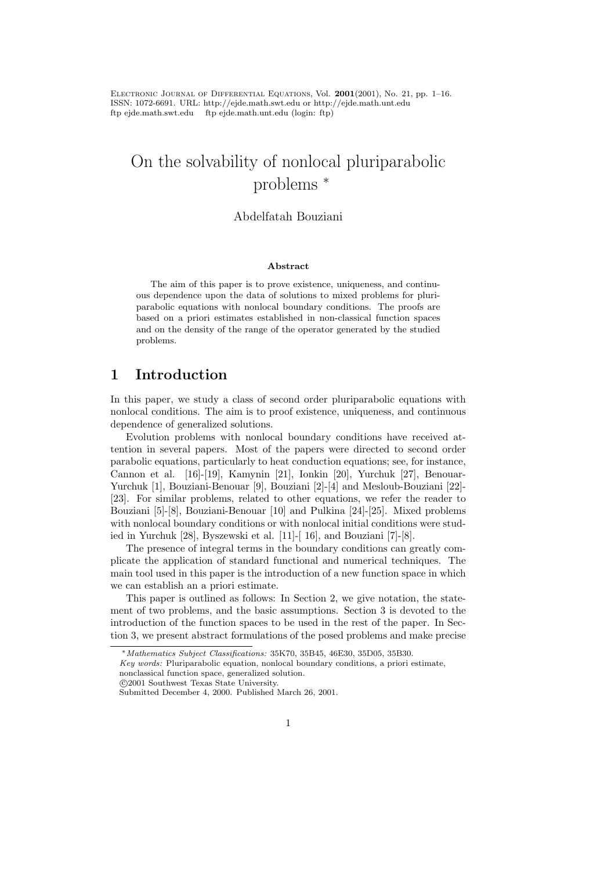ELECTRONIC JOURNAL OF DIFFERENTIAL EQUATIONS, Vol.  $2001(2001)$ , No. 21, pp. 1–16. ISSN: 1072-6691. URL: http://ejde.math.swt.edu or http://ejde.math.unt.edu ftp ejde.math.swt.edu ftp ejde.math.unt.edu (login: ftp)

# On the solvability of nonlocal pluriparabolic problems <sup>∗</sup>

#### Abdelfatah Bouziani

#### Abstract

The aim of this paper is to prove existence, uniqueness, and continuous dependence upon the data of solutions to mixed problems for pluriparabolic equations with nonlocal boundary conditions. The proofs are based on a priori estimates established in non-classical function spaces and on the density of the range of the operator generated by the studied problems.

### 1 Introduction

In this paper, we study a class of second order pluriparabolic equations with nonlocal conditions. The aim is to proof existence, uniqueness, and continuous dependence of generalized solutions.

Evolution problems with nonlocal boundary conditions have received attention in several papers. Most of the papers were directed to second order parabolic equations, particularly to heat conduction equations; see, for instance, Cannon et al. [16]-[19], Kamynin [21], Ionkin [20], Yurchuk [27], Benouar-Yurchuk [1], Bouziani-Benouar [9], Bouziani [2]-[4] and Mesloub-Bouziani [22]- [23]. For similar problems, related to other equations, we refer the reader to Bouziani [5]-[8], Bouziani-Benouar [10] and Pulkina [24]-[25]. Mixed problems with nonlocal boundary conditions or with nonlocal initial conditions were studied in Yurchuk [28], Byszewski et al. [11]-[ 16], and Bouziani [7]-[8].

The presence of integral terms in the boundary conditions can greatly complicate the application of standard functional and numerical techniques. The main tool used in this paper is the introduction of a new function space in which we can establish an a priori estimate.

This paper is outlined as follows: In Section 2, we give notation, the statement of two problems, and the basic assumptions. Section 3 is devoted to the introduction of the function spaces to be used in the rest of the paper. In Section 3, we present abstract formulations of the posed problems and make precise

<sup>∗</sup>Mathematics Subject Classifications: 35K70, 35B45, 46E30, 35D05, 35B30.

Key words: Pluriparabolic equation, nonlocal boundary conditions, a priori estimate, nonclassical function space, generalized solution.

c 2001 Southwest Texas State University.

Submitted December 4, 2000. Published March 26, 2001.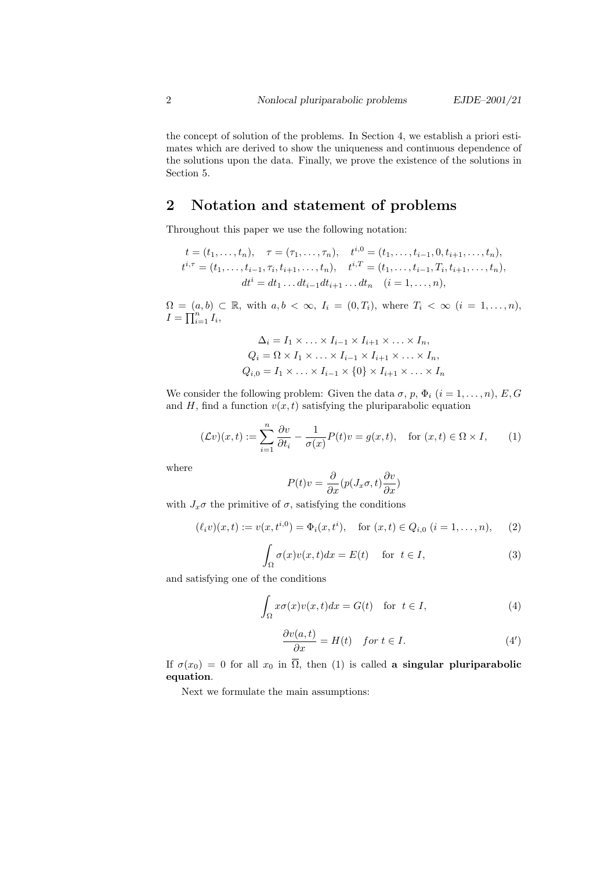the concept of solution of the problems. In Section 4, we establish a priori estimates which are derived to show the uniqueness and continuous dependence of the solutions upon the data. Finally, we prove the existence of the solutions in Section 5.

# 2 Notation and statement of problems

Throughout this paper we use the following notation:

$$
t = (t_1, \ldots, t_n), \quad \tau = (\tau_1, \ldots, \tau_n), \quad t^{i,0} = (t_1, \ldots, t_{i-1}, 0, t_{i+1}, \ldots, t_n),
$$
  

$$
t^{i,\tau} = (t_1, \ldots, t_{i-1}, \tau_i, t_{i+1}, \ldots, t_n), \quad t^{i,T} = (t_1, \ldots, t_{i-1}, T_i, t_{i+1}, \ldots, t_n),
$$
  

$$
dt^i = dt_1 \ldots dt_{i-1} dt_{i+1} \ldots dt_n \quad (i = 1, \ldots, n),
$$

 $\Omega = (a, b) \subset \mathbb{R}$ , with  $a, b < \infty$ ,  $I_i = (0, T_i)$ , where  $T_i < \infty$   $(i = 1, \ldots, n)$ ,  $I=\prod_{i=1}^n I_i,$ 

$$
\Delta_i = I_1 \times \ldots \times I_{i-1} \times I_{i+1} \times \ldots \times I_n,
$$
  
\n
$$
Q_i = \Omega \times I_1 \times \ldots \times I_{i-1} \times I_{i+1} \times \ldots \times I_n,
$$
  
\n
$$
Q_{i,0} = I_1 \times \ldots \times I_{i-1} \times \{0\} \times I_{i+1} \times \ldots \times I_n
$$

We consider the following problem: Given the data  $\sigma$ ,  $p$ ,  $\Phi_i$   $(i = 1, \ldots, n)$ ,  $E$ ,  $G$ and H, find a function  $v(x, t)$  satisfying the pluriparabolic equation

$$
(\mathcal{L}v)(x,t) := \sum_{i=1}^{n} \frac{\partial v}{\partial t_i} - \frac{1}{\sigma(x)} P(t)v = g(x,t), \quad \text{for } (x,t) \in \Omega \times I,
$$
 (1)

where

$$
P(t)v=\frac{\partial}{\partial x}(p(J_x\sigma,t)\frac{\partial v}{\partial x})
$$

with  $J_x\sigma$  the primitive of  $\sigma$ , satisfying the conditions

$$
(\ell_i v)(x,t) := v(x,t^{i,0}) = \Phi_i(x,t^i), \quad \text{for } (x,t) \in Q_{i,0} \ (i=1,\ldots,n), \tag{2}
$$

$$
\int_{\Omega} \sigma(x)v(x,t)dx = E(t) \quad \text{for } t \in I,
$$
\n(3)

and satisfying one of the conditions

$$
\int_{\Omega} x \sigma(x) v(x, t) dx = G(t) \quad \text{for } t \in I,
$$
\n(4)

$$
\frac{\partial v(a,t)}{\partial x} = H(t) \quad \text{for } t \in I. \tag{4'}
$$

If  $\sigma(x_0) = 0$  for all  $x_0$  in  $\overline{\Omega}$ , then (1) is called a singular pluriparabolic equation.

Next we formulate the main assumptions: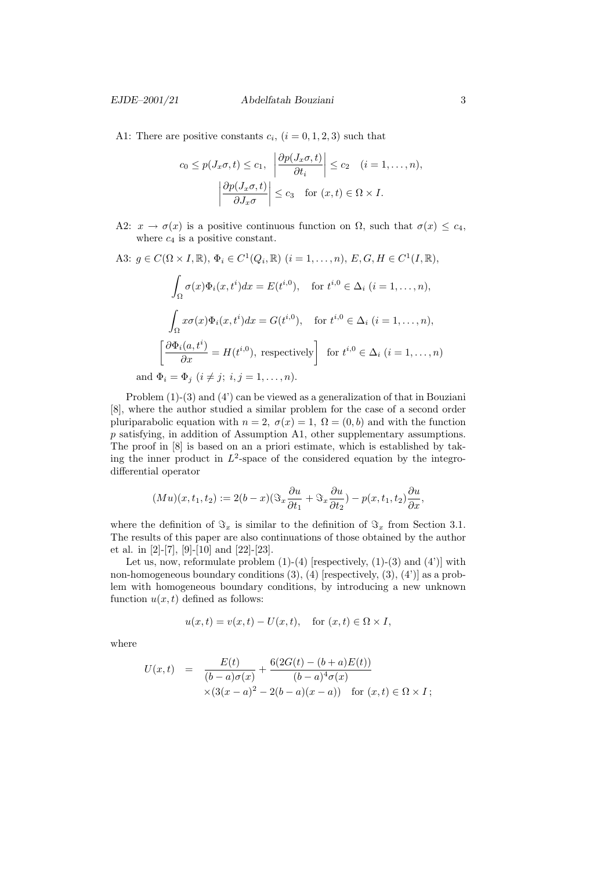A1: There are positive constants  $c_i$ ,  $(i = 0, 1, 2, 3)$  such that

$$
c_0 \le p(J_x \sigma, t) \le c_1, \quad \left| \frac{\partial p(J_x \sigma, t)}{\partial t_i} \right| \le c_2 \quad (i = 1, ..., n),
$$

$$
\left| \frac{\partial p(J_x \sigma, t)}{\partial J_x \sigma} \right| \le c_3 \quad \text{for } (x, t) \in \Omega \times I.
$$

- A2:  $x \to \sigma(x)$  is a positive continuous function on  $\Omega$ , such that  $\sigma(x) \leq c_4$ , where  $c_4$  is a positive constant.
- A3:  $g \in C(\Omega \times I, \mathbb{R}), \Phi_i \in C^1(Q_i, \mathbb{R}) \ (i = 1, ..., n), E, G, H \in C^1(I, \mathbb{R}),$

$$
\int_{\Omega} \sigma(x)\Phi_i(x, t^i)dx = E(t^{i,0}), \quad \text{for } t^{i,0} \in \Delta_i \ (i = 1, \dots, n),
$$

$$
\int_{\Omega} x\sigma(x)\Phi_i(x, t^i)dx = G(t^{i,0}), \quad \text{for } t^{i,0} \in \Delta_i \ (i = 1, \dots, n),
$$

$$
\left[\frac{\partial \Phi_i(a, t^i)}{\partial x} = H(t^{i,0}), \text{ respectively}\right] \text{ for } t^{i,0} \in \Delta_i \ (i = 1, \dots, n)
$$
and  $\Phi_i = \Phi_j \ (i \neq j; \ i, j = 1, \dots, n).$ 

Problem (1)-(3) and (4') can be viewed as a generalization of that in Bouziani [8], where the author studied a similar problem for the case of a second order pluriparabolic equation with  $n = 2$ ,  $\sigma(x) = 1$ ,  $\Omega = (0, b)$  and with the function p satisfying, in addition of Assumption A1, other supplementary assumptions. The proof in [8] is based on an a priori estimate, which is established by taking the inner product in  $L^2$ -space of the considered equation by the integrodifferential operator

$$
(Mu)(x, t_1, t_2) := 2(b-x)(\Im_x \frac{\partial u}{\partial t_1} + \Im_x \frac{\partial u}{\partial t_2}) - p(x, t_1, t_2) \frac{\partial u}{\partial x},
$$

where the definition of  $\Im_x$  is similar to the definition of  $\Im_x$  from Section 3.1. The results of this paper are also continuations of those obtained by the author et al. in [2]-[7], [9]-[10] and [22]-[23].

Let us, now, reformulate problem  $(1)-(4)$  [respectively,  $(1)-(3)$  and  $(4')$ ] with non-homogeneous boundary conditions  $(3)$ ,  $(4)$  [respectively,  $(3)$ ,  $(4')$ ] as a problem with homogeneous boundary conditions, by introducing a new unknown function  $u(x, t)$  defined as follows:

$$
u(x,t) = v(x,t) - U(x,t), \quad \text{for } (x,t) \in \Omega \times I,
$$

where

$$
U(x,t) = \frac{E(t)}{(b-a)\sigma(x)} + \frac{6(2G(t) - (b+a)E(t))}{(b-a)^4 \sigma(x)}
$$
  
 
$$
\times (3(x-a)^2 - 2(b-a)(x-a)) \text{ for } (x,t) \in \Omega \times I ;
$$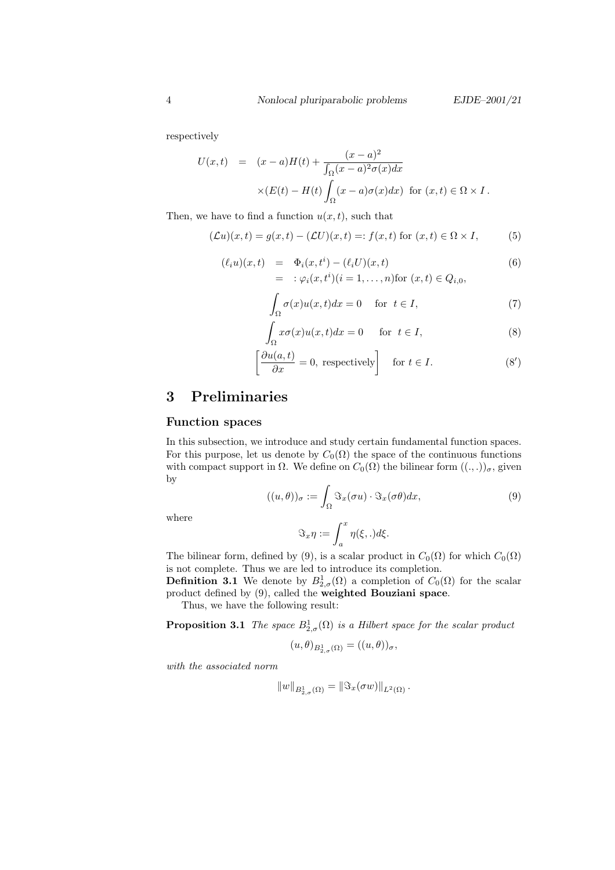respectively

$$
U(x,t) = (x-a)H(t) + \frac{(x-a)^2}{\int_{\Omega} (x-a)^2 \sigma(x) dx}
$$

$$
\times (E(t) - H(t) \int_{\Omega} (x-a) \sigma(x) dx) \text{ for } (x,t) \in \Omega \times I.
$$

Then, we have to find a function  $u(x, t)$ , such that

$$
(\mathcal{L}u)(x,t) = g(x,t) - (\mathcal{L}U)(x,t) =: f(x,t) \text{ for } (x,t) \in \Omega \times I,
$$
 (5)

$$
(\ell_i u)(x,t) = \Phi_i(x,t^i) - (\ell_i U)(x,t)
$$
  
= :  $\varphi_i(x,t^i)(i = 1,...,n)$  for  $(x,t) \in Q_{i,0}$ , (6)

$$
\int_{\Omega} \sigma(x)u(x,t)dx = 0 \quad \text{for } t \in I,
$$
\n(7)

$$
\int_{\Omega} x \sigma(x) u(x, t) dx = 0 \quad \text{for } t \in I,
$$
\n(8)

$$
\left[\frac{\partial u(a,t)}{\partial x} = 0, \text{ respectively}\right] \quad \text{for } t \in I. \tag{8'}
$$

### 3 Preliminaries

#### Function spaces

In this subsection, we introduce and study certain fundamental function spaces. For this purpose, let us denote by  $C_0(\Omega)$  the space of the continuous functions with compact support in  $\Omega$ . We define on  $C_0(\Omega)$  the bilinear form  $((., .))_{\sigma}$ , given by

$$
((u,\theta))_{\sigma} := \int_{\Omega} \Im_x(\sigma u) \cdot \Im_x(\sigma \theta) dx, \tag{9}
$$

where

$$
\Im_x \eta := \int_a^x \eta(\xi,.) d\xi.
$$

The bilinear form, defined by (9), is a scalar product in  $C_0(\Omega)$  for which  $C_0(\Omega)$ is not complete. Thus we are led to introduce its completion.

**Definition 3.1** We denote by  $B_{2,\sigma}^1(\Omega)$  a completion of  $C_0(\Omega)$  for the scalar product defined by (9), called the weighted Bouziani space.

Thus, we have the following result:

**Proposition 3.1** The space  $B_{2,\sigma}^1(\Omega)$  is a Hilbert space for the scalar product

$$
(u,\theta)_{B_{2,\sigma}^1(\Omega)}=((u,\theta))_{\sigma},
$$

with the associated norm

$$
||w||_{B_{2,\sigma}^1(\Omega)} = ||\Im_x(\sigma w)||_{L^2(\Omega)}.
$$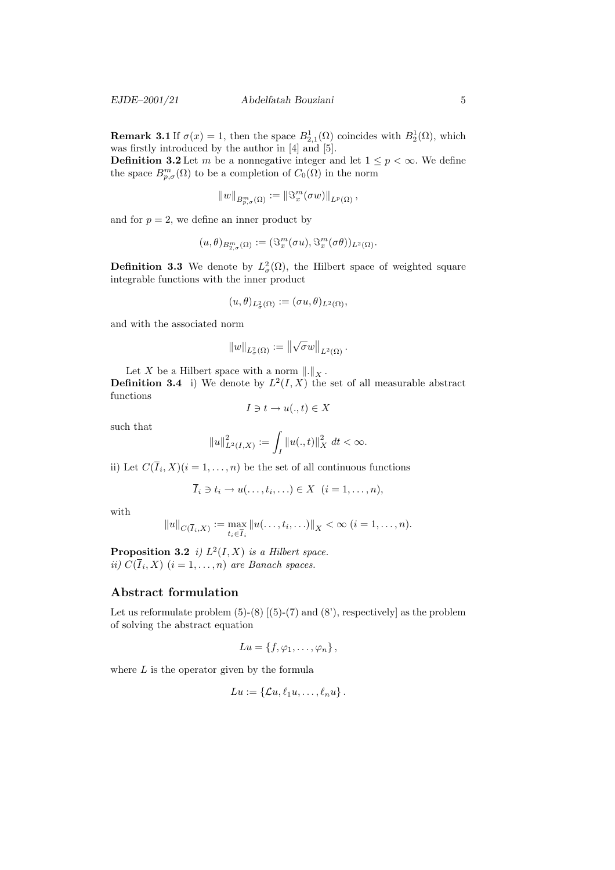**Remark 3.1** If  $\sigma(x) = 1$ , then the space  $B_{2,1}^1(\Omega)$  coincides with  $B_2^1(\Omega)$ , which was firstly introduced by the author in [4] and [5].

**Definition 3.2** Let m be a nonnegative integer and let  $1 \leq p < \infty$ . We define the space  $B^m_{p,\sigma}(\Omega)$  to be a completion of  $C_0(\Omega)$  in the norm

$$
||w||_{B^m_{p,\sigma}(\Omega)} := ||\Im^m_x(\sigma w)||_{L^p(\Omega)},
$$

and for  $p = 2$ , we define an inner product by

$$
(u,\theta)_{B^m_{2,\sigma}(\Omega)}:= (\Im^m_x(\sigma u),\Im^m_x(\sigma\theta))_{L^2(\Omega)}.
$$

**Definition 3.3** We denote by  $L^2_{\sigma}(\Omega)$ , the Hilbert space of weighted square integrable functions with the inner product

$$
(u,\theta)_{L^2_{\sigma}(\Omega)}:=(\sigma u,\theta)_{L^2(\Omega)},
$$

and with the associated norm

$$
||w||_{L^2_{\sigma}(\Omega)} := ||\sqrt{\sigma}w||_{L^2(\Omega)}.
$$

Let X be a Hilbert space with a norm  $\|.\|_X$ .

**Definition 3.4** i) We denote by  $L^2(I, X)$  the set of all measurable abstract functions

$$
I \ni t \to u(.,t) \in X
$$

such that

$$
||u||_{L^2(I,X)}^2 := \int_I ||u(.,t)||_X^2 \ dt < \infty.
$$

ii) Let  $C(I_i, X)(i = 1, ..., n)$  be the set of all continuous functions

$$
\overline{I}_i \ni t_i \to u(\ldots, t_i, \ldots) \in X \ \ (i=1,\ldots,n),
$$

with

$$
||u||_{C(\overline{I}_i,X)} := \max_{t_i \in \overline{I}_i} ||u(\dots, t_i, \dots)||_X < \infty \ (i = 1, \dots, n).
$$

**Proposition 3.2** i)  $L^2(I, X)$  is a Hilbert space. ii)  $C(I_i, X)$   $(i = 1, \ldots, n)$  are Banach spaces.

#### Abstract formulation

Let us reformulate problem  $(5)-(8)$   $[(5)-(7)$  and  $(8')$ , respectively] as the problem of solving the abstract equation

$$
Lu = \{f, \varphi_1, \ldots, \varphi_n\},\,
$$

where  $L$  is the operator given by the formula

$$
Lu:=\{\mathcal{L}u,\ell_1u,\ldots,\ell_nu\}\.
$$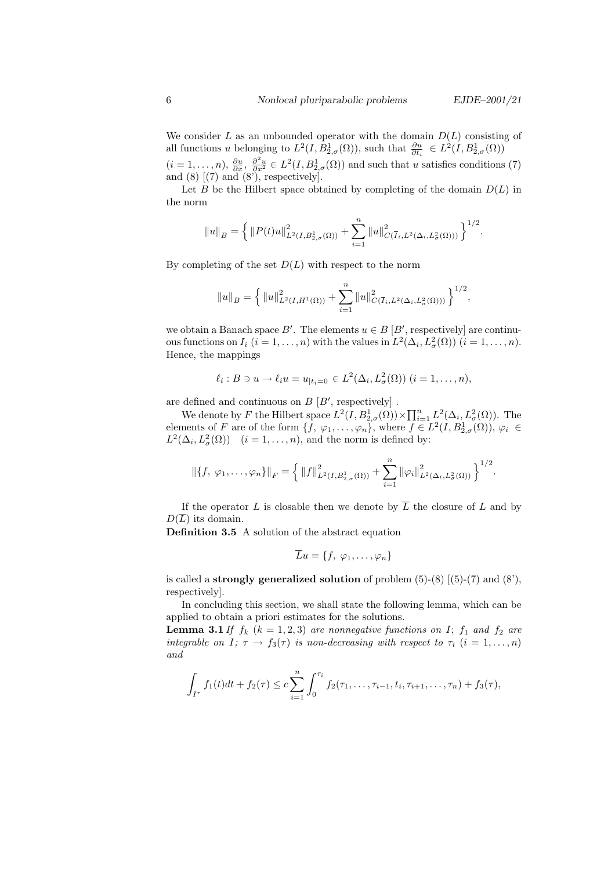We consider L as an unbounded operator with the domain  $D(L)$  consisting of all functions u belonging to  $L^2(I, B^1_{2,\sigma}(\Omega))$ , such that  $\frac{\partial u}{\partial t_i} \in L^2(I, B^1_{2,\sigma}(\Omega))$  $\partial t_i$ 

 $(i=1,\ldots,n)$ ,  $\frac{\partial u}{\partial x}$ ,  $\frac{\partial^2 u}{\partial x^2} \in L^2(I, B^1_{2,\sigma}(\Omega))$  and such that u satisfies conditions (7) and  $(8)$   $[(7)$  and  $(8')$ , respectively].

Let B be the Hilbert space obtained by completing of the domain  $D(L)$  in the norm

$$
||u||_B = \left\{ ||P(t)u||^2_{L^2(I,B^1_{2,\sigma}(\Omega))} + \sum_{i=1}^n ||u||^2_{C(\overline{I}_i,L^2(\Delta_i,L^2_{\sigma}(\Omega)))} \right\}^{1/2}.
$$

By completing of the set  $D(L)$  with respect to the norm

$$
\|u\|_B=\Big\{\,\|u\|_{L^2(I,H^1(\Omega))}^2+\sum_{i=1}^n\|u\|_{C(\overline{I}_i,L^2(\Delta_i,L^2_\sigma(\Omega)))}^2\,\Big\}^{1/2},
$$

we obtain a Banach space B'. The elements  $u \in B$  [B', respectively] are continuous functions on  $I_i$   $(i = 1, ..., n)$  with the values in  $L^2(\Delta_i, L^2(\Omega))$   $(i = 1, ..., n)$ . Hence, the mappings

$$
\ell_i : B \ni u \to \ell_i u = u_{|t_i=0} \in L^2(\Delta_i, L^2_{\sigma}(\Omega)) \ (i=1,\ldots,n),
$$

are defined and continuous on  $B [B',$  respectively].

We denote by F the Hilbert space  $L^2(I, B^1_{2,\sigma}(\Omega)) \times \prod_{i=1}^n L^2(\Delta_i, L^2_{\sigma}(\Omega))$ . The elements of F are of the form  $\{f, \varphi_1, \ldots, \varphi_n\}$ , where  $f \in L^2(I, B^1_{2,\sigma}(\Omega)), \varphi_i \in$  $L^2(\Delta_i, L^2_{\sigma}(\Omega))$   $(i = 1, ..., n)$ , and the norm is defined by:

$$
\|\{f, \varphi_1,\ldots,\varphi_n\}\|_F = \left\{\|f\|_{L^2(I,B_{2,\sigma}^1(\Omega))}^2 + \sum_{i=1}^n \|\varphi_i\|_{L^2(\Delta_i,L_\sigma^2(\Omega))}^2\right\}^{1/2}.
$$

If the operator L is closable then we denote by  $\overline{L}$  the closure of L and by  $D(\overline{L})$  its domain.

Definition 3.5 A solution of the abstract equation

$$
\overline{L}u = \{f, \varphi_1, \ldots, \varphi_n\}
$$

is called a **strongly generalized solution** of problem  $(5)-(8)$   $[(5)-(7)$  and  $(8'),$ respectively].

In concluding this section, we shall state the following lemma, which can be applied to obtain a priori estimates for the solutions.

**Lemma 3.1** If  $f_k$   $(k = 1, 2, 3)$  are nonnegative functions on I;  $f_1$  and  $f_2$  are integrable on I;  $\tau \to f_3(\tau)$  is non-decreasing with respect to  $\tau_i$   $(i = 1, \ldots, n)$ and

$$
\int_{I^{\tau}} f_1(t)dt + f_2(\tau) \leq c \sum_{i=1}^n \int_0^{\tau_i} f_2(\tau_1,\ldots,\tau_{i-1},t_i,\tau_{i+1},\ldots,\tau_n) + f_3(\tau),
$$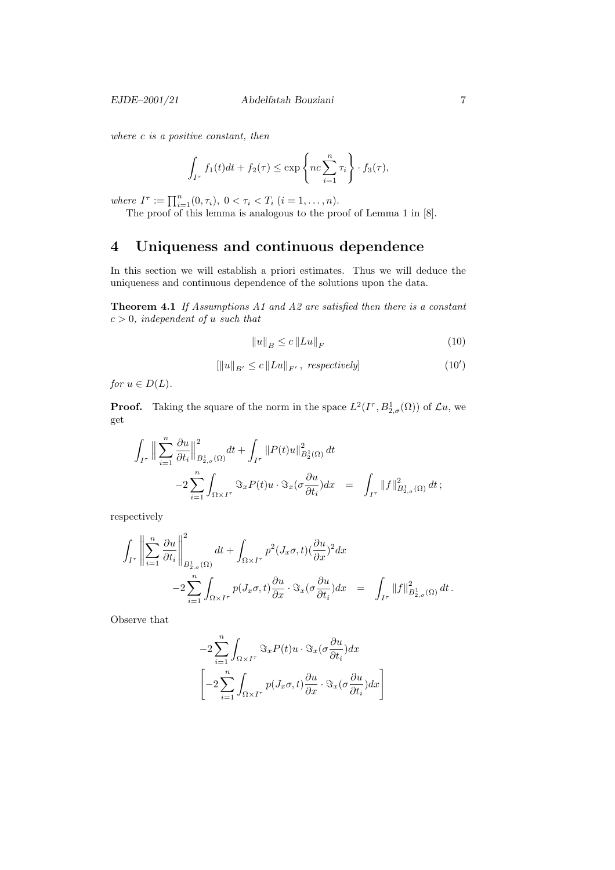where c is a positive constant, then

$$
\int_{I^{\tau}} f_1(t)dt + f_2(\tau) \le \exp\left\{nc \sum_{i=1}^n \tau_i\right\} \cdot f_3(\tau),
$$

where  $I^{\tau} := \prod_{i=1}^{n} (0, \tau_i), 0 < \tau_i < T_i$   $(i = 1, \ldots, n)$ .

The proof of this lemma is analogous to the proof of Lemma 1 in [8].

# 4 Uniqueness and continuous dependence

In this section we will establish a priori estimates. Thus we will deduce the uniqueness and continuous dependence of the solutions upon the data.

Theorem 4.1 If Assumptions A1 and A2 are satisfied then there is a constant  $c > 0$ , independent of u such that

$$
||u||_{B} \le c ||Lu||_{F}
$$
\n<sup>(10)</sup>

$$
\left[ \left\| u \right\|_{B'} \le c \left\| Lu \right\|_{F'}, \ respectively \right] \tag{10'}
$$

for  $u \in D(L)$ .

**Proof.** Taking the square of the norm in the space  $L^2(I^{\tau}, B^1_{2,\sigma}(\Omega))$  of  $\mathcal{L}u$ , we get

$$
\begin{array}{lcl} \displaystyle\int_{I^{\tau}}\Big\|\sum_{i=1}^{n}\frac{\partial u}{\partial t_{i}}\Big\|^{2}_{B^{1}_{2,\sigma}(\Omega)}dt+\int_{I^{\tau}}\|P(t)u\|^{2}_{B^{1}_{2}(\Omega)}\,dt\\[2mm] &\displaystyle -2\sum_{i=1}^{n}\int_{\Omega\times I^{\tau}}\Im_{x}P(t)u\cdot \Im_{x}(\sigma\frac{\partial u}{\partial t_{i}})dx&=&\displaystyle\int_{I^{\tau}}\|f\|^{2}_{B^{1}_{2,\sigma}(\Omega)}\,dt\,; \end{array}
$$

respectively

$$
\int_{I^{\tau}} \left\| \sum_{i=1}^{n} \frac{\partial u}{\partial t_{i}} \right\|_{B^{1}_{2,\sigma}(\Omega)}^{2} dt + \int_{\Omega \times I^{\tau}} p^{2} (J_{x}\sigma, t) (\frac{\partial u}{\partial x})^{2} dx
$$
  

$$
-2 \sum_{i=1}^{n} \int_{\Omega \times I^{\tau}} p(J_{x}\sigma, t) \frac{\partial u}{\partial x} \cdot \Im_{x} (\sigma \frac{\partial u}{\partial t_{i}}) dx = \int_{I^{\tau}} ||f||^{2}_{B^{1}_{2,\sigma}(\Omega)} dt.
$$

Observe that

$$
-2\sum_{i=1}^{n} \int_{\Omega \times I^{\tau}} \Im_x P(t) u \cdot \Im_x(\sigma \frac{\partial u}{\partial t_i}) dx
$$

$$
\left[ -2\sum_{i=1}^{n} \int_{\Omega \times I^{\tau}} p(J_x \sigma, t) \frac{\partial u}{\partial x} \cdot \Im_x(\sigma \frac{\partial u}{\partial t_i}) dx \right]
$$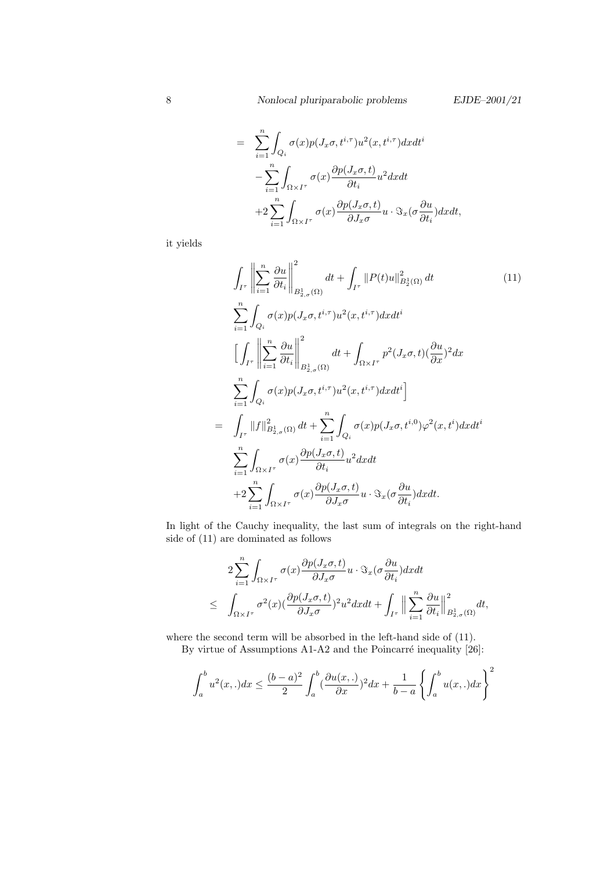$$
= \sum_{i=1}^{n} \int_{Q_i} \sigma(x) p(J_x \sigma, t^{i, \tau}) u^2(x, t^{i, \tau}) dx dt^i
$$
  

$$
- \sum_{i=1}^{n} \int_{\Omega \times I^{\tau}} \sigma(x) \frac{\partial p(J_x \sigma, t)}{\partial t_i} u^2 dx dt
$$
  

$$
+ 2 \sum_{i=1}^{n} \int_{\Omega \times I^{\tau}} \sigma(x) \frac{\partial p(J_x \sigma, t)}{\partial J_x \sigma} u \cdot \Im_x(\sigma \frac{\partial u}{\partial t_i}) dx dt,
$$

it yields

$$
\int_{I^{\tau}} \left\| \sum_{i=1}^{n} \frac{\partial u}{\partial t_{i}} \right\|_{B_{2,\sigma}^{1}(\Omega)}^{2} dt + \int_{I^{\tau}} \|P(t)u\|_{B_{2}^{1}(\Omega)}^{2} dt \qquad (11)
$$
\n
$$
\sum_{i=1}^{n} \int_{Q_{i}} \sigma(x) p(J_{x}\sigma, t^{i,\tau}) u^{2}(x, t^{i,\tau}) dx dt^{i}
$$
\n
$$
\left[ \int_{I^{\tau}} \left\| \sum_{i=1}^{n} \frac{\partial u}{\partial t_{i}} \right\|_{B_{2,\sigma}^{1}(\Omega)}^{2} dt + \int_{\Omega \times I^{\tau}} p^{2}(J_{x}\sigma, t) (\frac{\partial u}{\partial x})^{2} dx \right\}
$$
\n
$$
\sum_{i=1}^{n} \int_{Q_{i}} \sigma(x) p(J_{x}\sigma, t^{i,\tau}) u^{2}(x, t^{i,\tau}) dx dt^{i}
$$
\n
$$
= \int_{I^{\tau}} \|f\|_{B_{2,\sigma}^{1}(\Omega)}^{2} dt + \sum_{i=1}^{n} \int_{Q_{i}} \sigma(x) p(J_{x}\sigma, t^{i,0}) \varphi^{2}(x, t^{i}) dx dt^{i}
$$
\n
$$
\sum_{i=1}^{n} \int_{\Omega \times I^{\tau}} \sigma(x) \frac{\partial p(J_{x}\sigma, t)}{\partial t_{i}} u^{2} dx dt
$$
\n
$$
+ 2 \sum_{i=1}^{n} \int_{\Omega \times I^{\tau}} \sigma(x) \frac{\partial p(J_{x}\sigma, t)}{\partial J_{x}\sigma} u \cdot \Im_{x}(\sigma \frac{\partial u}{\partial t_{i}}) dx dt.
$$
\n(11)

In light of the Cauchy inequality, the last sum of integrals on the right-hand side of (11) are dominated as follows

$$
2\sum_{i=1}^{n} \int_{\Omega \times I^{\tau}} \sigma(x) \frac{\partial p(J_x \sigma, t)}{\partial J_x \sigma} u \cdot \Im_x(\sigma \frac{\partial u}{\partial t_i}) dx dt
$$
  

$$
\leq \int_{\Omega \times I^{\tau}} \sigma^2(x) (\frac{\partial p(J_x \sigma, t)}{\partial J_x \sigma})^2 u^2 dx dt + \int_{I^{\tau}} \Big\| \sum_{i=1}^{n} \frac{\partial u}{\partial t_i} \Big\|_{B_{2,\sigma}^1(\Omega)}^2 dt,
$$

where the second term will be absorbed in the left-hand side of (11). By virtue of Assumptions A1-A2 and the Poincarré inequality  $[26]$ :

$$
\int_a^b u^2(x,.)dx \le \frac{(b-a)^2}{2} \int_a^b \left(\frac{\partial u(x,.)}{\partial x}\right)^2 dx + \frac{1}{b-a} \left\{ \int_a^b u(x,.)dx \right\}^2
$$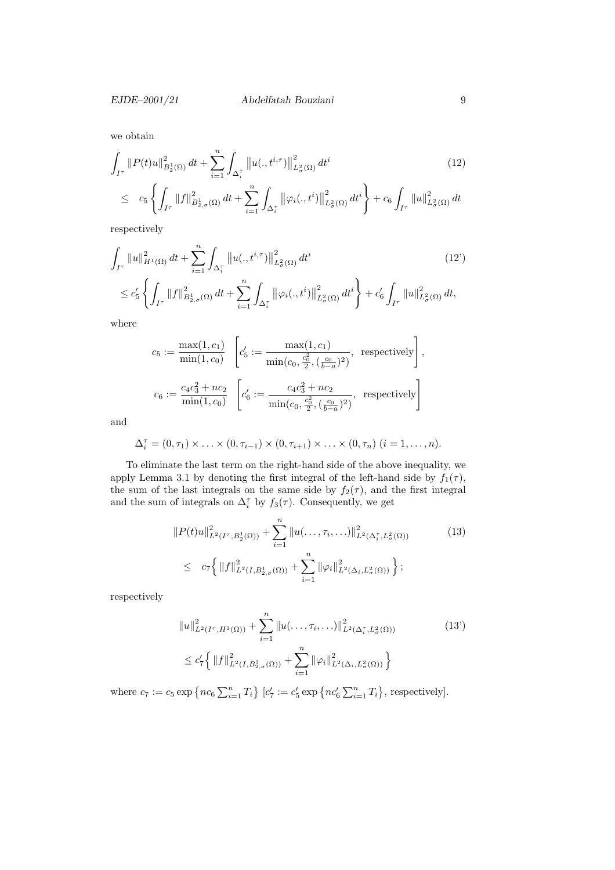we obtain

$$
\int_{I^{\tau}} \|P(t)u\|_{B_2^1(\Omega)}^2 dt + \sum_{i=1}^n \int_{\Delta_i^{\tau}} \|u(.,t^{i,\tau})\|_{L^2(\Omega)}^2 dt^i
$$
\n
$$
\leq c_5 \left\{ \int_{I^{\tau}} \|f\|_{B_{2,\sigma}^1(\Omega)}^2 dt + \sum_{i=1}^n \int_{\Delta_i^{\tau}} \left\| \varphi_i(.,t^i) \right\|_{L^2(\Omega)}^2 dt^i \right\} + c_6 \int_{I^{\tau}} \|u\|_{L^2(\Omega)}^2 dt
$$
\n
$$
(12)
$$

respectively

$$
\int_{I^{\tau}} \|u\|_{H^{1}(\Omega)}^{2} dt + \sum_{i=1}^{n} \int_{\Delta_{i}^{\tau}} \|u(.,t^{i,\tau})\|_{L^{2}_{\sigma}(\Omega)}^{2} dt^{i} \qquad (12')
$$
\n
$$
\leq c_{5}' \left\{ \int_{I^{\tau}} \|f\|_{B_{2,\sigma}^{1}(\Omega)}^{2} dt + \sum_{i=1}^{n} \int_{\Delta_{i}^{\tau}} \|\varphi_{i}(.,t^{i})\|_{L^{2}_{\sigma}(\Omega)}^{2} dt^{i} \right\} + c_{6}' \int_{I^{\tau}} \|u\|_{L^{2}_{\sigma}(\Omega)}^{2} dt,
$$

where

$$
c_5 := \frac{\max(1, c_1)}{\min(1, c_0)} \left[ c_5' := \frac{\max(1, c_1)}{\min(c_0, \frac{c_0^2}{2}, (\frac{c_0}{b-a})^2)}, \text{ respectively} \right],
$$
  

$$
c_6 := \frac{c_4 c_3^2 + nc_2}{\min(1, c_0)} \left[ c_6' := \frac{c_4 c_3^2 + nc_2}{\min(c_0, \frac{c_0^2}{2}, (\frac{c_0}{b-a})^2)}, \text{ respectively} \right]
$$

and

$$
\Delta_i^{\tau} = (0, \tau_1) \times \ldots \times (0, \tau_{i-1}) \times (0, \tau_{i+1}) \times \ldots \times (0, \tau_n) \quad (i = 1, \ldots, n).
$$

To eliminate the last term on the right-hand side of the above inequality, we apply Lemma 3.1 by denoting the first integral of the left-hand side by  $f_1(\tau)$ , the sum of the last integrals on the same side by  $f_2(\tau)$ , and the first integral and the sum of integrals on  $\Delta_i^{\tau}$  by  $f_3(\tau)$ . Consequently, we get

$$
||P(t)u||_{L^{2}(I^{\tau},B_{2}^{1}(\Omega))}^{2} + \sum_{i=1}^{n} ||u(\ldots,\tau_{i},\ldots)||_{L^{2}(\Delta_{i}^{\tau},L_{\sigma}^{2}(\Omega))}^{2}
$$
\n
$$
\leq c_{7} \left\{ ||f||_{L^{2}(I,B_{2,\sigma}^{1}(\Omega))}^{2} + \sum_{i=1}^{n} ||\varphi_{i}||_{L^{2}(\Delta_{i},L_{\sigma}^{2}(\Omega))}^{2} \right\};
$$
\n(13)

respectively

$$
||u||_{L^{2}(I^{\tau}, H^{1}(\Omega))}^{2} + \sum_{i=1}^{n} ||u(\ldots, \tau_{i}, \ldots)||_{L^{2}(\Delta_{i}^{\tau}, L^{2}_{\sigma}(\Omega))}^{2}
$$
\n
$$
\leq c_{7}' \Biggl\{ ||f||_{L^{2}(I, B_{2,\sigma}^{1}(\Omega))}^{2} + \sum_{i=1}^{n} ||\varphi_{i}||_{L^{2}(\Delta_{i}, L^{2}_{\sigma}(\Omega))}^{2} \Biggr\}
$$
\n(13')

where  $c_7 := c_5 \exp \{ n c_6 \sum_{i=1}^n T_i \}$   $[c'_7 := c'_5 \exp \{ n c'_6 \sum_{i=1}^n T_i \}$ , respectively].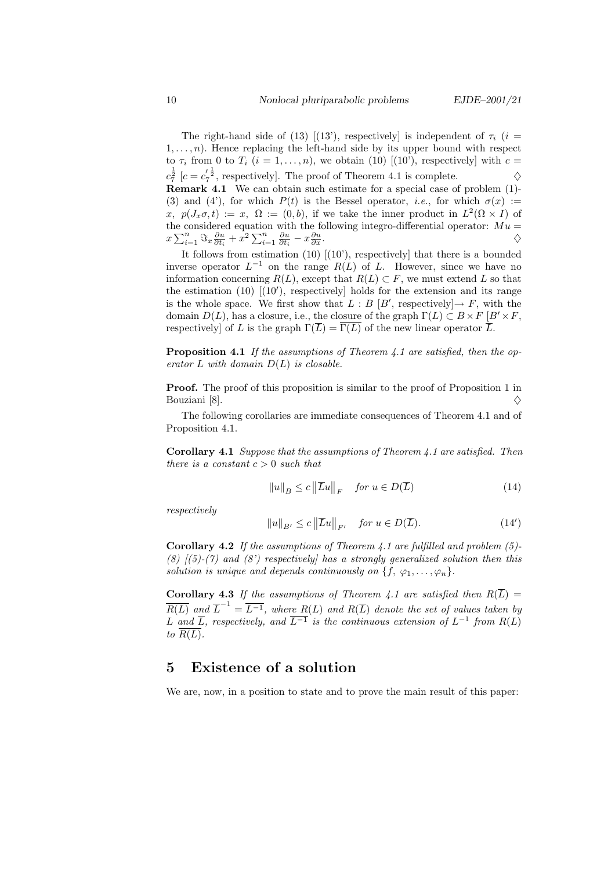The right-hand side of (13) [(13'), respectively] is independent of  $\tau_i$  (i =  $1, \ldots, n$ ). Hence replacing the left-hand side by its upper bound with respect to  $\tau_i$  from 0 to  $T_i$   $(i = 1, ..., n)$ , we obtain (10) [(10'), respectively] with  $c =$  $c_7^{\frac{1}{2}}$  [ $c = c_7^{\prime \frac{1}{2}}$ , respectively]. The proof of Theorem 4.1 is complete.  $\diamondsuit$ Remark 4.1 We can obtain such estimate for a special case of problem (1)- (3) and (4'), for which  $P(t)$  is the Bessel operator, *i.e.*, for which  $\sigma(x) :=$ x,  $p(J_x, \sigma, t) := x$ ,  $\Omega := (0, b)$ , if we take the inner product in  $L^2(\Omega \times I)$  of the considered equation with the following integro-differential operator:  $Mu =$  $x\sum_{i=1}^n \Im_x \frac{\partial u}{\partial t_i} + x^2 \sum_{i=1}^n \frac{\partial u}{\partial t_i} - x \frac{\partial u}{\partial x}$  $\frac{\partial u}{\partial x}$ .

It follows from estimation (10) [(10'), respectively] that there is a bounded inverse operator  $L^{-1}$  on the range  $R(L)$  of L. However, since we have no information concerning  $R(L)$ , except that  $R(L) \subset F$ , we must extend L so that the estimation (10)  $[(10')$ , respectively] holds for the extension and its range is the whole space. We first show that  $L : B [B',$  respectively  $] \rightarrow F$ , with the domain  $D(L)$ , has a closure, i.e., the closure of the graph  $\Gamma(L) \subset B \times F$  [ $B' \times F$ , respectively] of L is the graph  $\Gamma(\overline{L}) = \overline{\Gamma(L)}$  of the new linear operator  $\overline{L}$ .

Proposition 4.1 If the assumptions of Theorem 4.1 are satisfied, then the operator  $L$  with domain  $D(L)$  is closable.

Proof. The proof of this proposition is similar to the proof of Proposition 1 in Bouziani [8].

The following corollaries are immediate consequences of Theorem 4.1 and of Proposition 4.1.

Corollary 4.1 Suppose that the assumptions of Theorem 4.1 are satisfied. Then there is a constant  $c > 0$  such that

$$
||u||_B \le c ||\overline{L}u||_F \quad \text{for } u \in D(\overline{L})
$$
 (14)

respectively

$$
||u||_{B'} \le c ||\overline{L}u||_{F'} \quad \text{for } u \in D(\overline{L}).
$$
 (14')

**Corollary 4.2** If the assumptions of Theorem 4.1 are fulfilled and problem  $(5)$ -(8)  $(5)-(7)$  and (8') respectively has a strongly generalized solution then this solution is unique and depends continuously on  $\{f, \varphi_1, \ldots, \varphi_n\}.$ 

Corollary 4.3 If the assumptions of Theorem 4.1 are satisfied then  $R(\overline{L}) =$  $\overline{R(L)}$  and  $\overline{L}^{-1} = \overline{L^{-1}}$ , where  $R(L)$  and  $R(\overline{L})$  denote the set of values taken by L and  $\overline{L}$ , respectively, and  $\overline{L^{-1}}$  is the continuous extension of  $L^{-1}$  from  $R(L)$ to  $R(L)$ .

### 5 Existence of a solution

We are, now, in a position to state and to prove the main result of this paper: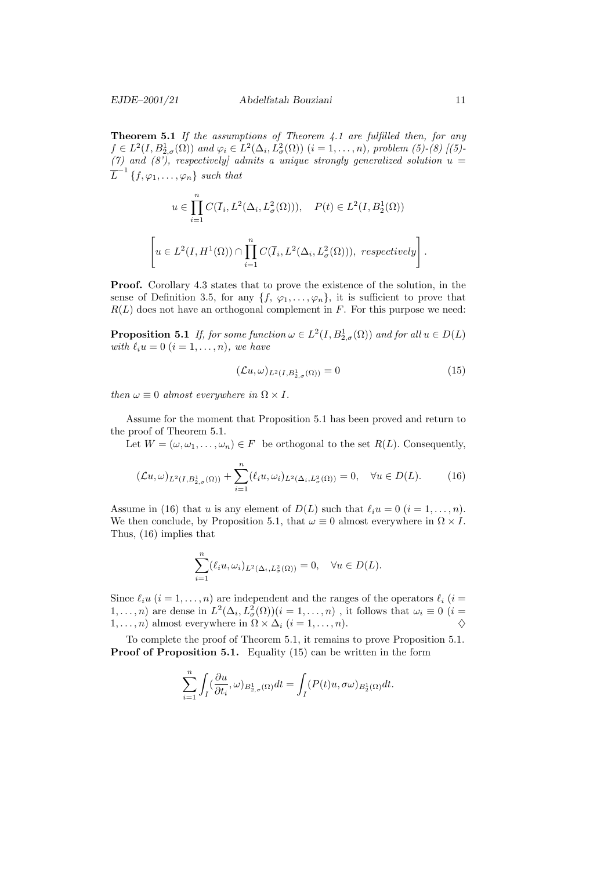$\sqrt{ }$ 

**Theorem 5.1** If the assumptions of Theorem 4.1 are fulfilled then, for any  $f \in L^2(I, B^1_{2,\sigma}(\Omega))$  and  $\varphi_i \in L^2(\Delta_i, L^2_{\sigma}(\Omega))$   $(i = 1, ..., n)$ , problem (5)-(8) [(5)- $(7)$  and  $(8)$ , respectively] admits a unique strongly generalized solution  $u =$  $\overline{L}^{-1}\left\{f,\varphi_1,\ldots,\varphi_n\right\}$  such that

$$
u \in \prod_{i=1}^{n} C(\overline{I}_{i}, L^{2}(\Delta_{i}, L^{2}_{\sigma}(\Omega))), \quad P(t) \in L^{2}(I, B_{2}^{1}(\Omega))
$$
  

$$
u \in L^{2}(I, H^{1}(\Omega)) \cap \prod_{i=1}^{n} C(\overline{I}_{i}, L^{2}(\Delta_{i}, L^{2}_{\sigma}(\Omega))), respectively)
$$

Proof. Corollary 4.3 states that to prove the existence of the solution, in the sense of Definition 3.5, for any  $\{f, \varphi_1, \ldots, \varphi_n\}$ , it is sufficient to prove that  $R(L)$  does not have an orthogonal complement in F. For this purpose we need:

**Proposition 5.1** If, for some function  $\omega \in L^2(I, B^1_{2,\sigma}(\Omega))$  and for all  $u \in D(L)$ with  $\ell_i u = 0$   $(i = 1, \ldots, n)$ , we have

$$
(\mathcal{L}u,\omega)_{L^2(I,B^1_{2,\sigma}(\Omega))}=0\tag{15}
$$

then  $\omega \equiv 0$  almost everywhere in  $\Omega \times I$ .

Assume for the moment that Proposition 5.1 has been proved and return to the proof of Theorem 5.1.

Let  $W = (\omega, \omega_1, \ldots, \omega_n) \in F$  be orthogonal to the set  $R(L)$ . Consequently,

$$
(\mathcal{L}u,\omega)_{L^2(I,B_{2,\sigma}^1(\Omega))} + \sum_{i=1}^n (\ell_i u,\omega_i)_{L^2(\Delta_i,L^2_{\sigma}(\Omega))} = 0, \quad \forall u \in D(L). \tag{16}
$$

Assume in (16) that u is any element of  $D(L)$  such that  $\ell_i u = 0$   $(i = 1, \ldots, n)$ . We then conclude, by Proposition 5.1, that  $\omega \equiv 0$  almost everywhere in  $\Omega \times I$ . Thus, (16) implies that

$$
\sum_{i=1}^n (\ell_i u, \omega_i)_{L^2(\Delta_i, L^2_{\sigma}(\Omega))} = 0, \quad \forall u \in D(L).
$$

Since  $\ell_i u$   $(i = 1, \ldots, n)$  are independent and the ranges of the operators  $\ell_i$   $(i =$  $1,\ldots,n)$  are dense in  $L^2(\Delta_i, L^2_\sigma(\Omega))(i=1,\ldots,n)$ , it follows that  $\omega_i\equiv 0$   $(i=1,\ldots,n)$ 1, ..., *n*) almost everywhere in  $\Omega \times \Delta_i$  (*i* = 1, ..., *n*).

To complete the proof of Theorem 5.1, it remains to prove Proposition 5.1. **Proof of Proposition 5.1.** Equality  $(15)$  can be written in the form

$$
\sum_{i=1}^n \int_I (\frac{\partial u}{\partial t_i}, \omega)_{B_{2,\sigma}^1(\Omega)} dt = \int_I (P(t)u, \sigma \omega)_{B_2^1(\Omega)} dt.
$$

.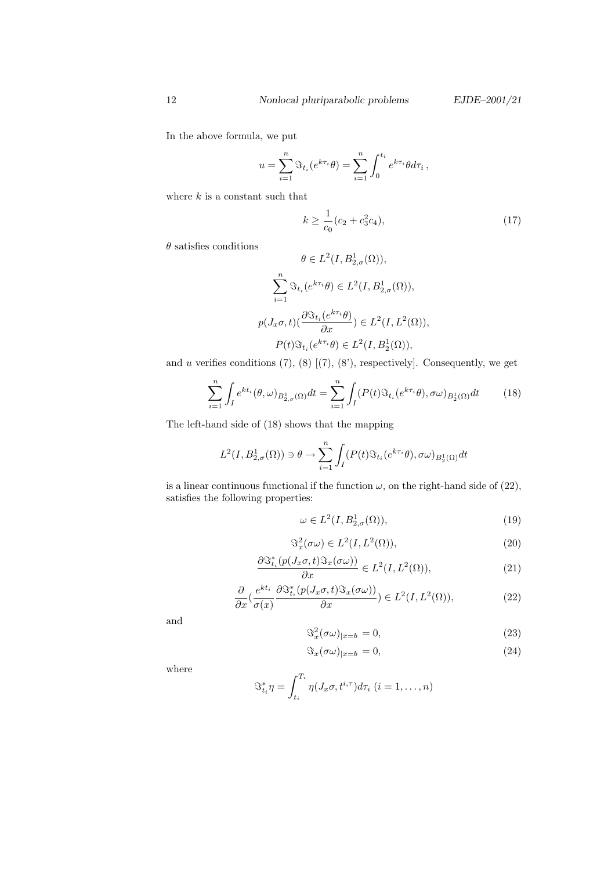In the above formula, we put

$$
u = \sum_{i=1}^{n} \Im_{t_i}(e^{k\tau_i}\theta) = \sum_{i=1}^{n} \int_0^{t_i} e^{k\tau_i} \theta d\tau_i,
$$

where  $k$  is a constant such that

$$
k \ge \frac{1}{c_0}(c_2 + c_3^2 c_4),\tag{17}
$$

 $\theta$  satisfies conditions

$$
\theta \in L^2(I, B^1_{2,\sigma}(\Omega)),
$$
  

$$
\sum_{i=1}^n \Im_{t_i}(e^{k\tau_i}\theta) \in L^2(I, B^1_{2,\sigma}(\Omega)),
$$
  

$$
p(J_x\sigma, t)(\frac{\partial \Im_{t_i}(e^{k\tau_i}\theta)}{\partial x}) \in L^2(I, L^2(\Omega)),
$$
  

$$
P(t)\Im_{t_i}(e^{k\tau_i}\theta) \in L^2(I, B^1_2(\Omega)),
$$

and  $u$  verifies conditions  $(7)$ ,  $(8)$   $[(7)$ ,  $(8')$ , respectively]. Consequently, we get

$$
\sum_{i=1}^{n} \int_{I} e^{kt_i}(\theta, \omega)_{B_{2,\sigma}^1(\Omega)} dt = \sum_{i=1}^{n} \int_{I} (P(t) \Im_{t_i}(e^{k\tau_i}\theta), \sigma \omega)_{B_2^1(\Omega)} dt \tag{18}
$$

The left-hand side of (18) shows that the mapping

$$
L^2(I, B^1_{2,\sigma}(\Omega))\ni \theta\to \sum_{i=1}^n \int_I (P(t)\Im_{t_i}(e^{k\tau_i}\theta), \sigma\omega)_{B^1_2(\Omega)}dt
$$

is a linear continuous functional if the function  $\omega$ , on the right-hand side of (22), satisfies the following properties:

$$
\omega \in L^2(I, B^1_{2,\sigma}(\Omega)),\tag{19}
$$

$$
\mathfrak{S}_x^2(\sigma\omega) \in L^2(I, L^2(\Omega)),\tag{20}
$$

$$
\frac{\partial \Im_{t_i}^*(p(J_x \sigma, t) \Im_x(\sigma \omega))}{\partial x} \in L^2(I, L^2(\Omega)),\tag{21}
$$

$$
\frac{\partial}{\partial x}\left(\frac{e^{kt_i}}{\sigma(x)}\frac{\partial \Im_{t_i}^*(p(J_x \sigma, t)\Im_x(\sigma \omega))}{\partial x}\right) \in L^2(I, L^2(\Omega)),\tag{22}
$$

and

$$
\Im_x^2(\sigma\omega)_{|x=b} = 0,\tag{23}
$$

$$
\Im_x(\sigma\omega)_{|x=b} = 0,\tag{24}
$$

where

$$
\mathfrak{S}_{t_i}^* \eta = \int_{t_i}^{T_i} \eta(J_x \sigma, t^{i,\tau}) d\tau_i \ (i = 1, \dots, n)
$$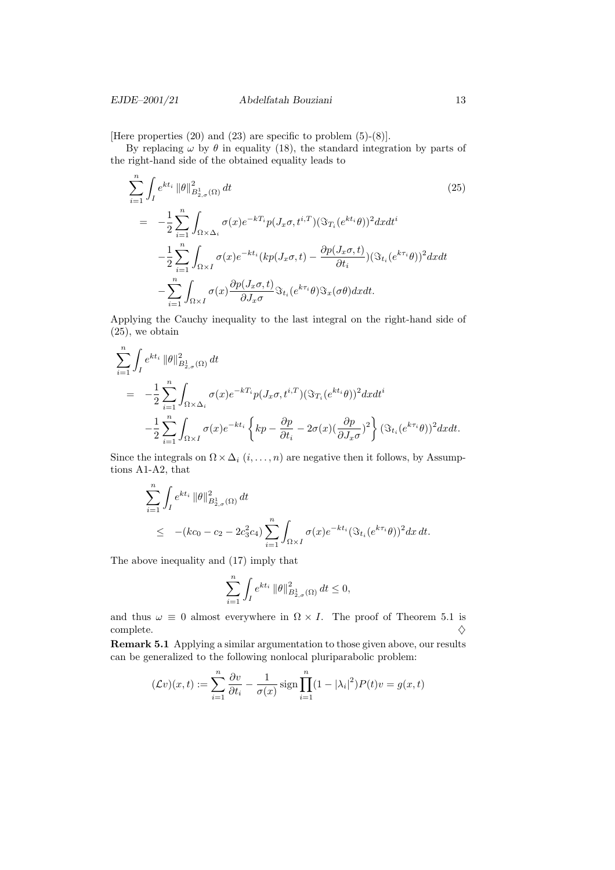[Here properties (20) and (23) are specific to problem (5)-(8)].

By replacing  $\omega$  by  $\theta$  in equality (18), the standard integration by parts of the right-hand side of the obtained equality leads to

$$
\sum_{i=1}^{n} \int_{I} e^{kt_{i}} \|\theta\|_{B_{2,\sigma}^{1}(\Omega)}^{2} dt
$$
\n
$$
= -\frac{1}{2} \sum_{i=1}^{n} \int_{\Omega \times \Delta_{i}} \sigma(x) e^{-kT_{i}} p(J_{x}\sigma, t^{i,T}) (\Im_{T_{i}}(e^{kt_{i}}\theta))^{2} dx dt^{i}
$$
\n
$$
- \frac{1}{2} \sum_{i=1}^{n} \int_{\Omega \times I} \sigma(x) e^{-kt_{i}} (kp(J_{x}\sigma, t) - \frac{\partial p(J_{x}\sigma, t)}{\partial t_{i}}) (\Im_{t_{i}}(e^{k\tau_{i}}\theta))^{2} dx dt
$$
\n
$$
- \sum_{i=1}^{n} \int_{\Omega \times I} \sigma(x) \frac{\partial p(J_{x}\sigma, t)}{\partial J_{x}\sigma} \Im_{t_{i}}(e^{k\tau_{i}}\theta) \Im_{x}(\sigma\theta) dx dt.
$$
\n(25)

Applying the Cauchy inequality to the last integral on the right-hand side of (25), we obtain

$$
\sum_{i=1}^{n} \int_{I} e^{kt_{i}} \|\theta\|_{B_{2,\sigma}^{1}(\Omega)}^{2} dt
$$
\n
$$
= -\frac{1}{2} \sum_{i=1}^{n} \int_{\Omega \times \Delta_{i}} \sigma(x) e^{-kT_{i}} p(J_{x}\sigma, t^{i,T}) (\Im_{T_{i}}(e^{kt_{i}}\theta))^{2} dx dt^{i}
$$
\n
$$
- \frac{1}{2} \sum_{i=1}^{n} \int_{\Omega \times I} \sigma(x) e^{-kt_{i}} \left\{ kp - \frac{\partial p}{\partial t_{i}} - 2\sigma(x) (\frac{\partial p}{\partial J_{x}\sigma})^{2} \right\} (\Im_{t_{i}}(e^{k\tau_{i}}\theta))^{2} dx dt.
$$

Since the integrals on  $\Omega \times \Delta_i$   $(i, \ldots, n)$  are negative then it follows, by Assumptions A1-A2, that

$$
\sum_{i=1}^{n} \int_{I} e^{kt_{i}} \|\theta\|_{B_{2,\sigma}^{1}(\Omega)}^{2} dt
$$
\n
$$
\leq -(kc_{0} - c_{2} - 2c_{3}^{2}c_{4}) \sum_{i=1}^{n} \int_{\Omega \times I} \sigma(x) e^{-kt_{i}} (\Im_{t_{i}}(e^{k\tau_{i}}\theta))^{2} dx dt.
$$

The above inequality and (17) imply that

$$
\sum_{i=1}^n \int_I e^{kt_i} \, \|\theta\|_{B_{2,\sigma}^1(\Omega)}^2 \, dt \leq 0,
$$

and thus  $\omega \equiv 0$  almost everywhere in  $\Omega \times I$ . The proof of Theorem 5.1 is complete.  $\Diamond$ 

Remark 5.1 Applying a similar argumentation to those given above, our results can be generalized to the following nonlocal pluriparabolic problem:

$$
(\mathcal{L}v)(x,t) := \sum_{i=1}^{n} \frac{\partial v}{\partial t_i} - \frac{1}{\sigma(x)} \operatorname{sign} \prod_{i=1}^{n} (1 - |\lambda_i|^2) P(t)v = g(x,t)
$$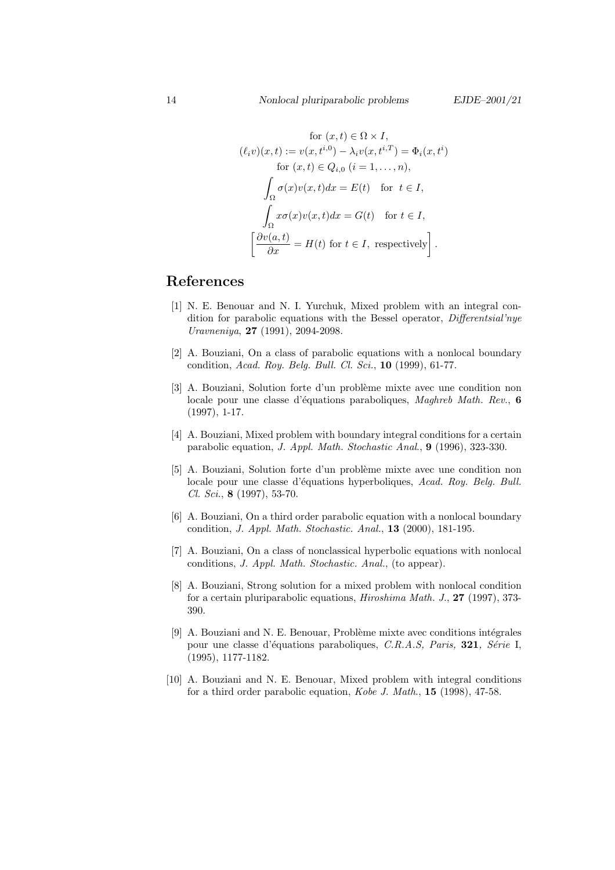$$
\text{for } (x, t) \in \Omega \times I,
$$
  
\n
$$
(\ell_i v)(x, t) := v(x, t^{i, 0}) - \lambda_i v(x, t^{i, T}) = \Phi_i(x, t^i)
$$
  
\nfor  $(x, t) \in Q_{i, 0} \ (i = 1, ..., n),$   
\n
$$
\int_{\Omega} \sigma(x) v(x, t) dx = E(t) \quad \text{for } t \in I,
$$
  
\n
$$
\int_{\Omega} x \sigma(x) v(x, t) dx = G(t) \quad \text{for } t \in I,
$$
  
\n
$$
\left[ \frac{\partial v(a, t)}{\partial x} = H(t) \text{ for } t \in I, \text{ respectively} \right].
$$

## References

- [1] N. E. Benouar and N. I. Yurchuk, Mixed problem with an integral condition for parabolic equations with the Bessel operator, Differentsial'nye Uravneniya, 27 (1991), 2094-2098.
- [2] A. Bouziani, On a class of parabolic equations with a nonlocal boundary condition, Acad. Roy. Belg. Bull. Cl. Sci., 10 (1999), 61-77.
- [3] A. Bouziani, Solution forte d'un problème mixte avec une condition non locale pour une classe d'équations paraboliques, Maghreb Math. Rev., 6 (1997), 1-17.
- [4] A. Bouziani, Mixed problem with boundary integral conditions for a certain parabolic equation, J. Appl. Math. Stochastic Anal., 9 (1996), 323-330.
- [5] A. Bouziani, Solution forte d'un problème mixte avec une condition non locale pour une classe d'équations hyperboliques, Acad. Roy. Belg. Bull. Cl. Sci., 8 (1997), 53-70.
- [6] A. Bouziani, On a third order parabolic equation with a nonlocal boundary condition, J. Appl. Math. Stochastic. Anal., 13 (2000), 181-195.
- [7] A. Bouziani, On a class of nonclassical hyperbolic equations with nonlocal conditions, J. Appl. Math. Stochastic. Anal., (to appear).
- [8] A. Bouziani, Strong solution for a mixed problem with nonlocal condition for a certain pluriparabolic equations, Hiroshima Math. J., 27 (1997), 373- 390.
- [9] A. Bouziani and N. E. Benouar, Problème mixte avec conditions intégrales pour une classe d'équations paraboliques, C.R.A.S, Paris, 321, Série I, (1995), 1177-1182.
- [10] A. Bouziani and N. E. Benouar, Mixed problem with integral conditions for a third order parabolic equation, Kobe J. Math., 15 (1998), 47-58.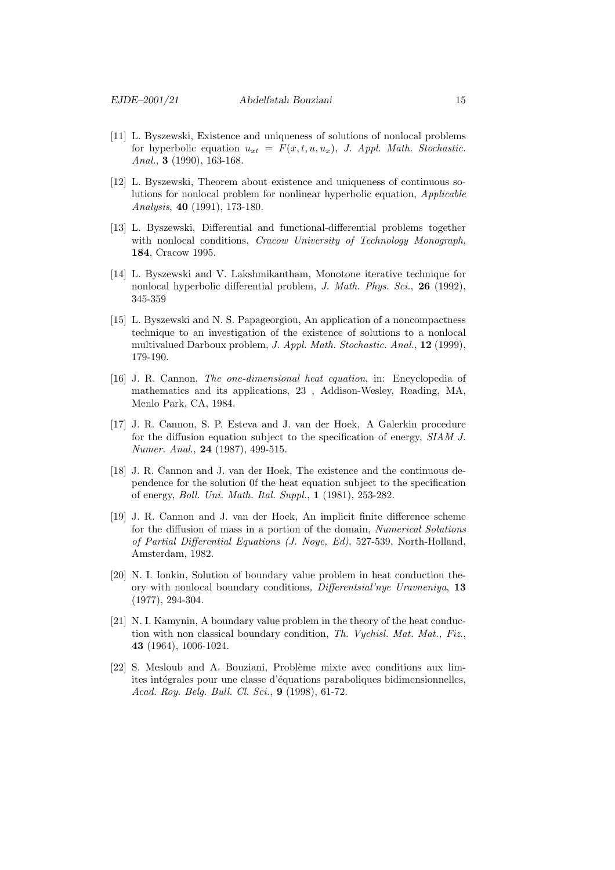- [11] L. Byszewski, Existence and uniqueness of solutions of nonlocal problems for hyperbolic equation  $u_{xt} = F(x, t, u, u_x)$ , J. Appl. Math. Stochastic. Anal., **3** (1990), 163-168.
- [12] L. Byszewski, Theorem about existence and uniqueness of continuous solutions for nonlocal problem for nonlinear hyperbolic equation, Applicable Analysis, 40 (1991), 173-180.
- [13] L. Byszewski, Differential and functional-differential problems together with nonlocal conditions, Cracow University of Technology Monograph, 184, Cracow 1995.
- [14] L. Byszewski and V. Lakshmikantham, Monotone iterative technique for nonlocal hyperbolic differential problem, *J. Math. Phys. Sci.*, **26** (1992), 345-359
- [15] L. Byszewski and N. S. Papageorgiou, An application of a noncompactness technique to an investigation of the existence of solutions to a nonlocal multivalued Darboux problem, J. Appl. Math. Stochastic. Anal., 12 (1999), 179-190.
- [16] J. R. Cannon, The one-dimensional heat equation, in: Encyclopedia of mathematics and its applications, 23 , Addison-Wesley, Reading, MA, Menlo Park, CA, 1984.
- [17] J. R. Cannon, S. P. Esteva and J. van der Hoek, A Galerkin procedure for the diffusion equation subject to the specification of energy, SIAM J. Numer. Anal., 24 (1987), 499-515.
- [18] J. R. Cannon and J. van der Hoek, The existence and the continuous dependence for the solution 0f the heat equation subject to the specification of energy, Boll. Uni. Math. Ital. Suppl., 1 (1981), 253-282.
- [19] J. R. Cannon and J. van der Hoek, An implicit finite difference scheme for the diffusion of mass in a portion of the domain, Numerical Solutions of Partial Differential Equations (J. Noye, Ed), 527-539, North-Holland, Amsterdam, 1982.
- [20] N. I. Ionkin, Solution of boundary value problem in heat conduction theory with nonlocal boundary conditions, Differentsial'nye Uravneniya, 13 (1977), 294-304.
- [21] N. I. Kamynin, A boundary value problem in the theory of the heat conduction with non classical boundary condition, Th. Vychisl. Mat. Mat., Fiz., 43 (1964), 1006-1024.
- [22] S. Mesloub and A. Bouziani, Problème mixte avec conditions aux limites intégrales pour une classe d'équations paraboliques bidimensionnelles, Acad. Roy. Belg. Bull. Cl. Sci., 9 (1998), 61-72.